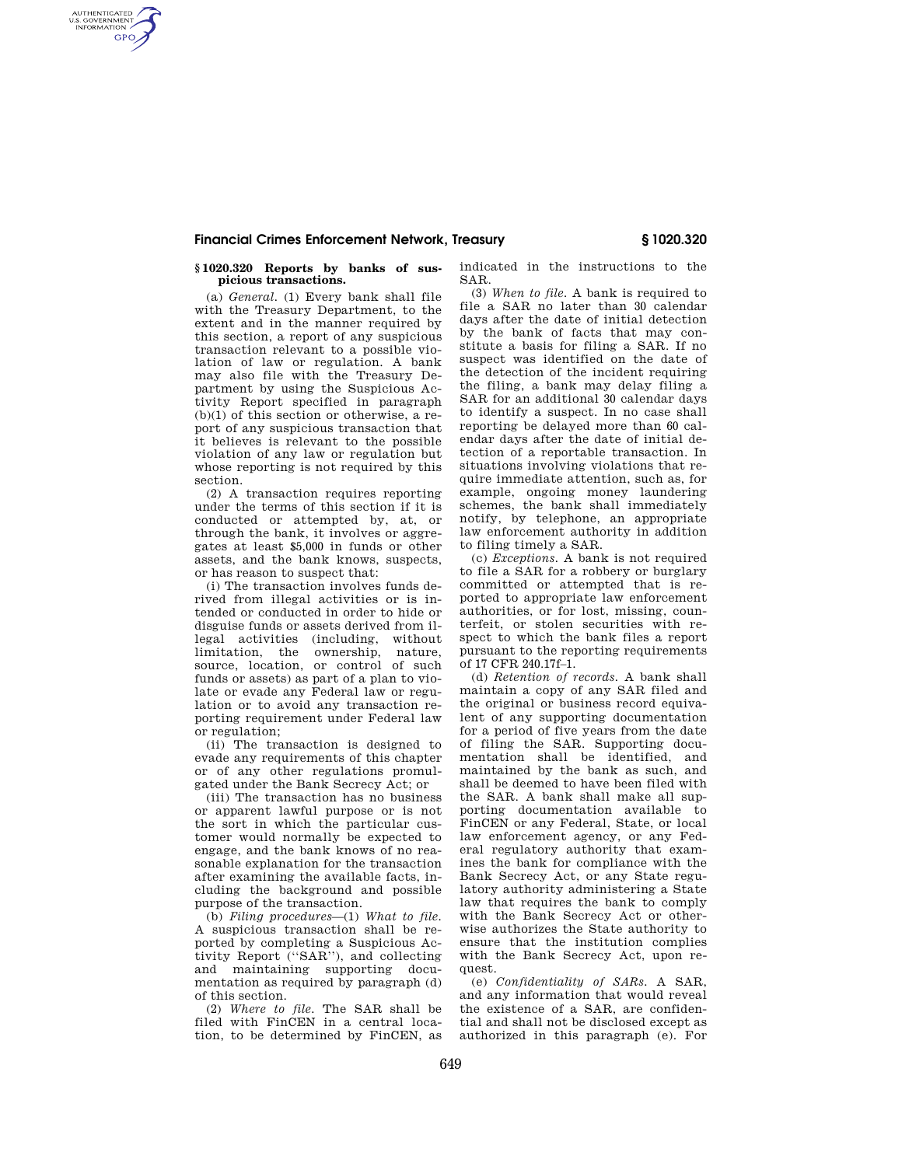## **Financial Crimes Enforcement Network, Treasury § 1020.320**

## **§ 1020.320 Reports by banks of suspicious transactions.**

AUTHENTICATED<br>U.S. GOVERNMENT<br>INFORMATION **GPO** 

> (a) *General.* (1) Every bank shall file with the Treasury Department, to the extent and in the manner required by this section, a report of any suspicious transaction relevant to a possible violation of law or regulation. A bank may also file with the Treasury Department by using the Suspicious Activity Report specified in paragraph (b)(1) of this section or otherwise, a report of any suspicious transaction that it believes is relevant to the possible violation of any law or regulation but whose reporting is not required by this section.

> (2) A transaction requires reporting under the terms of this section if it is conducted or attempted by, at, or through the bank, it involves or aggregates at least \$5,000 in funds or other assets, and the bank knows, suspects, or has reason to suspect that:

> (i) The transaction involves funds derived from illegal activities or is intended or conducted in order to hide or disguise funds or assets derived from illegal activities (including, without limitation, the ownership, nature, source, location, or control of such funds or assets) as part of a plan to violate or evade any Federal law or regulation or to avoid any transaction reporting requirement under Federal law or regulation;

> (ii) The transaction is designed to evade any requirements of this chapter or of any other regulations promulgated under the Bank Secrecy Act; or

> (iii) The transaction has no business or apparent lawful purpose or is not the sort in which the particular customer would normally be expected to engage, and the bank knows of no reasonable explanation for the transaction after examining the available facts, including the background and possible purpose of the transaction.

> (b) *Filing procedures*—(1) *What to file.*  A suspicious transaction shall be reported by completing a Suspicious Activity Report (''SAR''), and collecting and maintaining supporting documentation as required by paragraph (d) of this section.

(2) *Where to file.* The SAR shall be filed with FinCEN in a central location, to be determined by FinCEN, as indicated in the instructions to the SAR.

(3) *When to file.* A bank is required to file a SAR no later than 30 calendar days after the date of initial detection by the bank of facts that may constitute a basis for filing a SAR. If no suspect was identified on the date of the detection of the incident requiring the filing, a bank may delay filing a SAR for an additional 30 calendar days to identify a suspect. In no case shall reporting be delayed more than 60 calendar days after the date of initial detection of a reportable transaction. In situations involving violations that require immediate attention, such as, for example, ongoing money laundering schemes, the bank shall immediately notify, by telephone, an appropriate law enforcement authority in addition to filing timely a SAR.

(c) *Exceptions.* A bank is not required to file a SAR for a robbery or burglary committed or attempted that is reported to appropriate law enforcement authorities, or for lost, missing, counterfeit, or stolen securities with respect to which the bank files a report pursuant to the reporting requirements of 17 CFR 240.17f–1.

(d) *Retention of records.* A bank shall maintain a copy of any SAR filed and the original or business record equivalent of any supporting documentation for a period of five years from the date of filing the SAR. Supporting documentation shall be identified, and maintained by the bank as such, and shall be deemed to have been filed with the SAR. A bank shall make all supporting documentation available to FinCEN or any Federal, State, or local law enforcement agency, or any Federal regulatory authority that examines the bank for compliance with the Bank Secrecy Act, or any State regulatory authority administering a State law that requires the bank to comply with the Bank Secrecy Act or otherwise authorizes the State authority to ensure that the institution complies with the Bank Secrecy Act, upon request.

(e) *Confidentiality of SARs.* A SAR, and any information that would reveal the existence of a SAR, are confidential and shall not be disclosed except as authorized in this paragraph (e). For